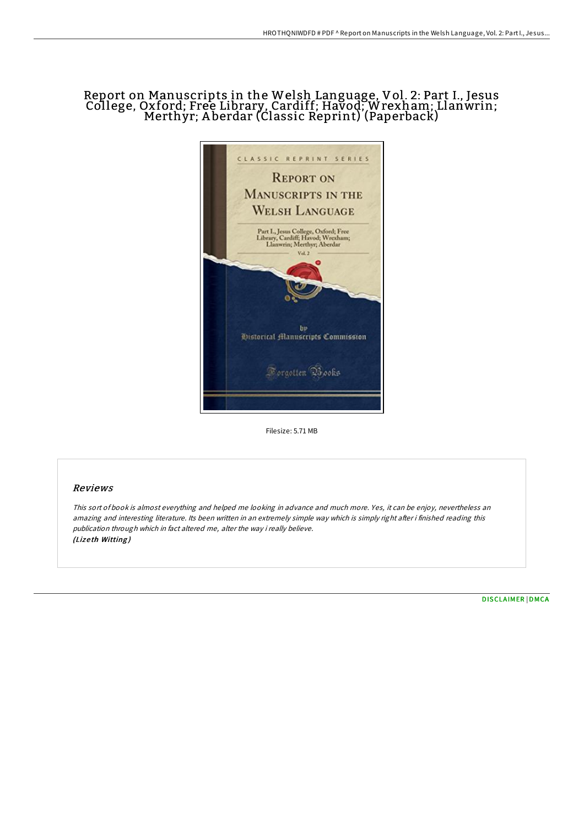# Report on Manuscripts in the Welsh Language, Vol. 2: Part I., Jesus College, Oxford; Free Library, Cardiff; Havod; Wrexham; Llanwrin; Merthyr; A berdar (Classic Reprint) (Paperback)



Filesize: 5.71 MB

## Reviews

This sort of book is almost everything and helped me looking in advance and much more. Yes, it can be enjoy, nevertheless an amazing and interesting literature. Its been written in an extremely simple way which is simply right after i finished reading this publication through which in fact altered me, alter the way i really believe. (Lizeth Witting)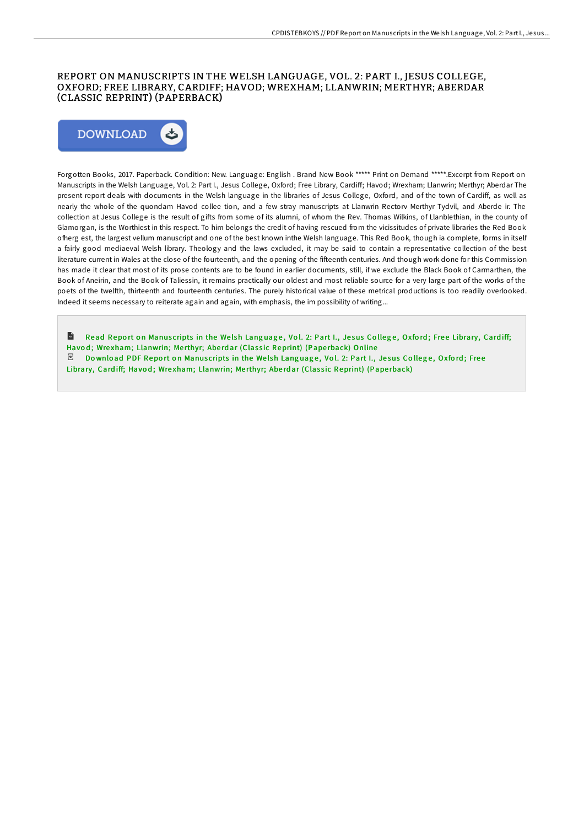### REPORT ON MANUSCRIPTS IN THE WELSH LANGUAGE, VOL. 2: PART I., JESUS COLLEGE, OXFORD; FREE LIBRARY, CARDIFF; HAVOD; WREXHAM; LLANWRIN; MERTHYR; ABERDAR (CLASSIC REPRINT) (PAPERBACK)



Forgotten Books, 2017. Paperback. Condition: New. Language: English . Brand New Book \*\*\*\*\* Print on Demand \*\*\*\*\*.Excerpt from Report on Manuscripts in the Welsh Language, Vol. 2: Part I., Jesus College, Oxford; Free Library, Cardiff; Havod; Wrexham; Llanwrin; Merthyr; Aberdar The present report deals with documents in the Welsh language in the libraries of Jesus College, Oxford, and of the town of Cardiff, as well as nearly the whole of the quondam Havod collee tion, and a few stray manuscripts at Llanwrin Rectorv Merthyr Tydvil, and Aberde ir. The collection at Jesus College is the result of gifts from some of its alumni, of whom the Rev. Thomas Wilkins, of Llanblethian, in the county of Glamorgan, is the Worthiest in this respect. To him belongs the credit of having rescued from the vicissitudes of private libraries the Red Book ofherg est, the largest vellum manuscript and one of the best known inthe Welsh language. This Red Book, though ia complete, forms in itself a fairly good mediaeval Welsh library. Theology and the laws excluded, it may be said to contain a representative collection of the best literature current in Wales at the close of the fourteenth, and the opening of the fifteenth centuries. And though work done for this Commission has made it clear that most of its prose contents are to be found in earlier documents, still, if we exclude the Black Book of Carmarthen, the Book of Aneirin, and the Book of Taliessin, it remains practically our oldest and most reliable source for a very large part of the works of the poets of the twelfth, thirteenth and fourteenth centuries. The purely historical value of these metrical productions is too readily overlooked. Indeed it seems necessary to reiterate again and again, with emphasis, the im possibility of writing...

 $\mathbf{r}$ Read Report on Manuscripts in the Welsh Language, Vol. 2: Part I., Jesus College, Oxford; Free Library, Cardiff; Havod; Wrexham; [Llanwrin;](http://almighty24.tech/report-on-manuscripts-in-the-welsh-language-vol-.html) Merthyr; Aberdar (Classic Reprint) (Paperback) Online PDF Download PDF Report on Manuscripts in the Welsh Language, Vol. 2: Part I., Jesus College, Oxford; Free Library, Cardiff; Havod; Wrexham; [Llanwrin;](http://almighty24.tech/report-on-manuscripts-in-the-welsh-language-vol-.html) Merthyr; Aberdar (Classic Reprint) (Paperback)